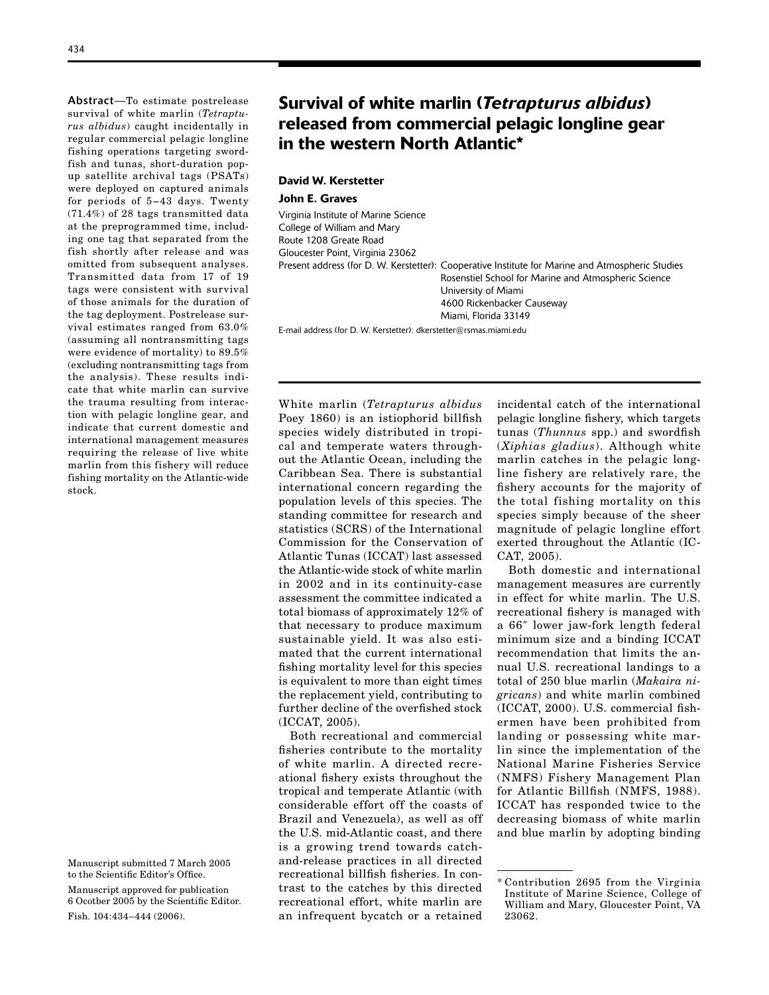Abstract—To estimate postrelease survival of white marlin (*Tetrapturus albidus*) caught incidentally in regular commercial pelagic longline fishing operations targeting swordfish and tunas, short-duration popup satellite archival tags (PSATs) were deployed on captured animals for periods of 5−43 days. Twenty (71.4%) of 28 tags transmitted data at the preprogrammed time, including one tag that separated from the fish shortly after release and was omitted from subsequent analyses. Transmitted data from 17 of 19 tags were consistent with survival of those animals for the duration of the tag deployment. Postrelease survival estimates ranged from 63.0% (assuming all nontransmitting tags were evidence of mortality) to 89.5% (excluding nontransmitting tags from the analysis). These results indicate that white marlin can survive the trauma resulting from interaction with pelagic longline gear, and indicate that current domestic and international management measures requiring the release of live white marlin from this fishery will reduce fishing mortality on the Atlantic-wide stock.

# Survival of white marlin (*Tetrapturus albidus*) released from commercial pelagic longline gear in the western North Atlantic\*

# David W. Kerstetter

# John E. Graves

Virginia Institute of Marine Science College of William and Mary Route 1208 Greate Road Gloucester Point, Virginia 23062 Present address (for D. W. Kerstetter): Cooperative Institute for Marine and Atmospheric Studies Rosenstiel School for Marine and Atmospheric Science University of Miami 4600 Rickenbacker Causeway Miami, Florida 33149

E-mail address (for D. W. Kerstetter): dkerstetter@rsmas.miami.edu

White marlin (*Tetrapturus albidus* incidental catch of the international Poey 1860) is an istiophorid billfish pelagic longline fishery, which targets species widely distributed in tropi- tunas (*Thunnus* spp.) and swordfish cal and temperate waters through- (*Xiphias gladius*). Although white out the Atlantic Ocean, including the marlin catches in the pelagic long-Caribbean Sea. There is substantial line fishery are relatively rare, the international concern regarding the fishery accounts for the majority of population levels of this species. The the total fishing mortality on this standing committee for research and species simply because of the sheer statistics (SCRS) of the International magnitude of pelagic longline effort Commission for the Conservation of exerted throughout the Atlantic (IC-Atlantic Tunas (ICCAT) last assessed CAT, 2005). the Atlantic-wide stock of white marlin Both domestic and international in 2002 and in its continuity-case management measures are currently assessment the committee indicated a in effect for white marlin. The U.S. total biomass of approximately 12% of recreational fishery is managed with that necessary to produce maximum a 66<sup>''</sup> lower jaw-fork length federal sustainable yield. It was also esti- minimum size and a binding ICCAT mated that the current international recommendation that limits the anfishing mortality level for this species nual U.S. recreational landings to a is equivalent to more than eight times total of 250 blue marlin (*Makaira ni*the replacement yield, contributing to *gricans*) and white marlin combined further decline of the overfished stock (ICCAT, 2000). U.S. commercial fish-

fisheries contribute to the mortality lin since the implementation of the of white marlin. A directed recre- National Marine Fisheries Service ational fishery exists throughout the (NMFS) Fishery Management Plan tropical and temperate Atlantic (with for Atlantic Billfish (NMFS, 1988). considerable effort off the coasts of ICCAT has responded twice to the Brazil and Venezuela), as well as off decreasing biomass of white marlin the U.S. mid-Atlantic coast, and there and blue marlin by adopting binding is a growing trend towards catchand-release practices in all directed recreational billfish fisheries. In contrast to the catches by this directed \* Contribution <sup>2695</sup> from the Virginia recreational effort, white marlin are William and Mary, Gloucester Point, VA an infrequent bycatch or a retained 23062.

(ICCAT, 2005). ermen have been prohibited from Both recreational and commercial landing or possessing white mar-

Manuscript submitted 7 March 2005 to the Scientific Editor's Office.

Manuscript approved for publication 6 Ocotber 2005 by the Scientific Editor. Fish. 104:434–444 (2006).

Institute of Marine Science, College of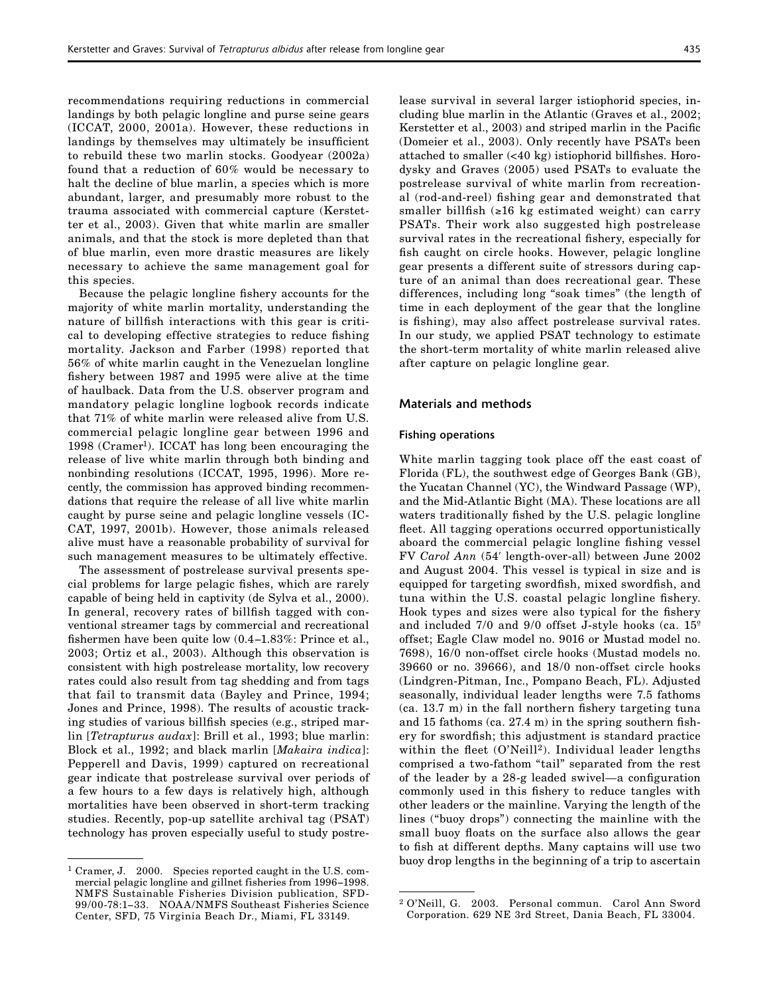recommendations requiring reductions in commercial landings by both pelagic longline and purse seine gears (ICCAT, 2000, 2001a). However, these reductions in landings by themselves may ultimately be insufficient to rebuild these two marlin stocks. Goodyear (2002a) found that a reduction of 60% would be necessary to halt the decline of blue marlin, a species which is more abundant, larger, and presumably more robust to the trauma associated with commercial capture (Kerstetter et al., 2003). Given that white marlin are smaller animals, and that the stock is more depleted than that of blue marlin, even more drastic measures are likely necessary to achieve the same management goal for this species.

Because the pelagic longline fishery accounts for the majority of white marlin mortality, understanding the nature of billfish interactions with this gear is critical to developing effective strategies to reduce fishing mortality. Jackson and Farber (1998) reported that 56% of white marlin caught in the Venezuelan longline fishery between 1987 and 1995 were alive at the time of haulback. Data from the U.S. observer program and mandatory pelagic longline logbook records indicate that 71% of white marlin were released alive from U.S. commercial pelagic longline gear between 1996 and 1998 (Cramer<sup>1</sup>). ICCAT has long been encouraging the release of live white marlin through both binding and nonbinding resolutions (ICCAT, 1995, 1996). More recently, the commission has approved binding recommendations that require the release of all live white marlin caught by purse seine and pelagic longline vessels (IC-CAT, 1997, 2001b). However, those animals released alive must have a reasonable probability of survival for such management measures to be ultimately effective.

The assessment of postrelease survival presents special problems for large pelagic fishes, which are rarely capable of being held in captivity (de Sylva et al., 2000). In general, recovery rates of billfish tagged with conventional streamer tags by commercial and recreational fishermen have been quite low (0.4−1.83%: Prince et al., 2003; Ortiz et al., 2003). Although this observation is consistent with high postrelease mortality, low recovery rates could also result from tag shedding and from tags that fail to transmit data (Bayley and Prince, 1994; Jones and Prince, 1998). The results of acoustic tracking studies of various billfish species (e.g., striped marlin [*Tetrapturus audax*]: Brill et al., 1993; blue marlin: Block et al., 1992; and black marlin [*Makaira indica*]: Pepperell and Davis, 1999) captured on recreational gear indicate that postrelease survival over periods of a few hours to a few days is relatively high, although mortalities have been observed in short-term tracking studies. Recently, pop-up satellite archival tag (PSAT) technology has proven especially useful to study postrelease survival in several larger istiophorid species, including blue marlin in the Atlantic (Graves et al., 2002; Kerstetter et al., 2003) and striped marlin in the Pacific (Domeier et al., 2003). Only recently have PSATs been attached to smaller (<40 kg) istiophorid billfishes. Horodysky and Graves (2005) used PSATs to evaluate the postrelease survival of white marlin from recreational (rod-and-reel) fishing gear and demonstrated that smaller billfish (≥16 kg estimated weight) can carry PSATs. Their work also suggested high postrelease survival rates in the recreational fishery, especially for fish caught on circle hooks. However, pelagic longline gear presents a different suite of stressors during capture of an animal than does recreational gear. These differences, including long "soak times" (the length of time in each deployment of the gear that the longline is fishing), may also affect postrelease survival rates. In our study, we applied PSAT technology to estimate the short-term mortality of white marlin released alive after capture on pelagic longline gear.

#### Materials and methods

#### Fishing operations

White marlin tagging took place off the east coast of Florida (FL), the southwest edge of Georges Bank (GB), the Yucatan Channel (YC), the Windward Passage (WP), and the Mid-Atlantic Bight (MA). These locations are all waters traditionally fished by the U.S. pelagic longline fleet. All tagging operations occurred opportunistically aboard the commercial pelagic longline fishing vessel FV *Carol Ann* (54ʹ length-over-all) between June 2002 and August 2004. This vessel is typical in size and is equipped for targeting swordfish, mixed swordfish, and tuna within the U.S. coastal pelagic longline fishery. Hook types and sizes were also typical for the fishery and included 7/0 and 9/0 offset J-style hooks (ca. 15º offset; Eagle Claw model no. 9016 or Mustad model no. 7698), 16/0 non-offset circle hooks (Mustad models no. 39660 or no. 39666), and 18/0 non-offset circle hooks (Lindgren-Pitman, Inc., Pompano Beach, FL). Adjusted seasonally, individual leader lengths were 7.5 fathoms (ca. 13.7 m) in the fall northern fishery targeting tuna and 15 fathoms (ca. 27.4 m) in the spring southern fishery for swordfish; this adjustment is standard practice within the fleet  $(O'Neill^2)$ . Individual leader lengths comprised a two-fathom "tail" separated from the rest of the leader by a 28-g leaded swivel—a configuration commonly used in this fishery to reduce tangles with other leaders or the mainline. Varying the length of the lines ("buoy drops") connecting the mainline with the small buoy floats on the surface also allows the gear to fish at different depths. Many captains will use two buoy drop lengths in the beginning of a trip to ascertain

<sup>1</sup> Cramer, J. 2000. Species reported caught in the U.S. commercial pelagic longline and gillnet fisheries from 1996−1998. NMFS Sustainable Fisheries Division publication, SFD-99/00-78:1−33. NOAA/NMFS Southeast Fisheries Science Center, SFD, 75 Virginia Beach Dr., Miami, FL 33149.

<sup>2</sup> O'Neill, G. 2003. Personal commun. Carol Ann Sword Corporation. 629 NE 3rd Street, Dania Beach, FL 33004.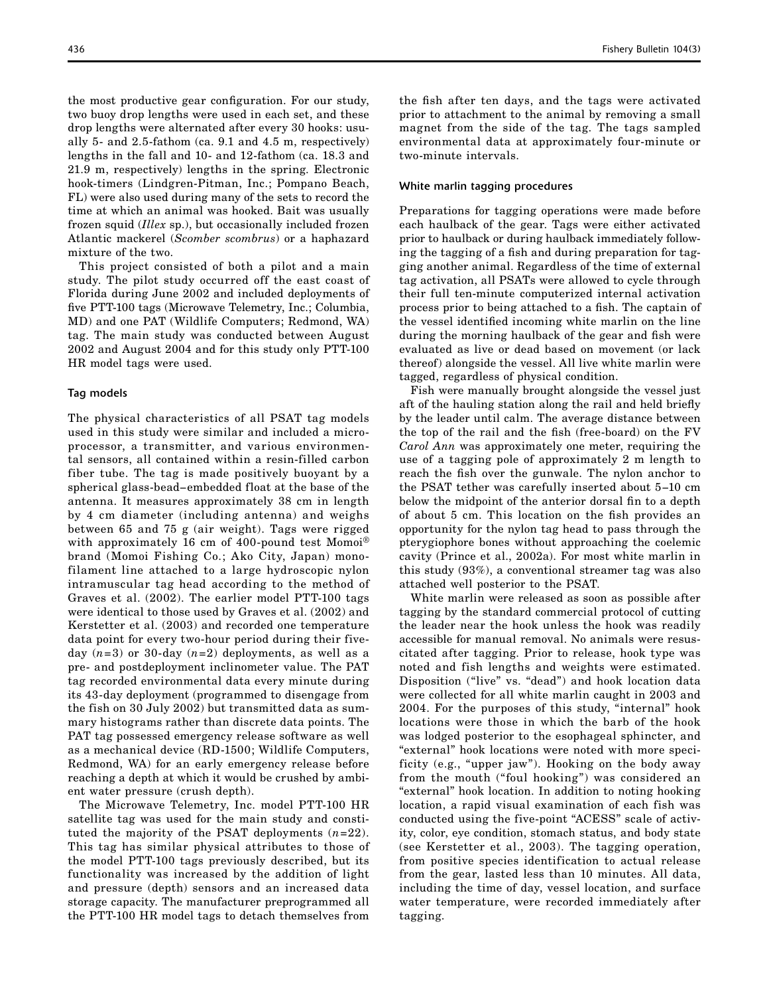the most productive gear configuration. For our study, two buoy drop lengths were used in each set, and these drop lengths were alternated after every 30 hooks: usually 5- and 2.5-fathom (ca. 9.1 and 4.5 m, respectively) lengths in the fall and 10- and 12-fathom (ca. 18.3 and 21.9 m, respectively) lengths in the spring. Electronic hook-timers (Lindgren-Pitman, Inc.; Pompano Beach, FL) were also used during many of the sets to record the time at which an animal was hooked. Bait was usually frozen squid (*Illex* sp.), but occasionally included frozen Atlantic mackerel (*Scomber scombrus*) or a haphazard mixture of the two.

This project consisted of both a pilot and a main study. The pilot study occurred off the east coast of Florida during June 2002 and included deployments of five PTT-100 tags (Microwave Telemetry, Inc.; Columbia, MD) and one PAT (Wildlife Computers; Redmond, WA) tag. The main study was conducted between August 2002 and August 2004 and for this study only PTT-100 HR model tags were used.

#### Tag models

The physical characteristics of all PSAT tag models used in this study were similar and included a microprocessor, a transmitter, and various environmental sensors, all contained within a resin-filled carbon fiber tube. The tag is made positively buoyant by a spherical glass-bead−embedded float at the base of the antenna. It measures approximately 38 cm in length by 4 cm diameter (including antenna) and weighs between 65 and 75 g (air weight). Tags were rigged with approximately 16 cm of 400-pound test Momoi® brand (Momoi Fishing Co.; Ako City, Japan) monofilament line attached to a large hydroscopic nylon intramuscular tag head according to the method of Graves et al. (2002). The earlier model PTT-100 tags were identical to those used by Graves et al. (2002) and Kerstetter et al. (2003) and recorded one temperature data point for every two-hour period during their fiveday  $(n=3)$  or 30-day  $(n=2)$  deployments, as well as a pre- and postdeployment inclinometer value. The PAT tag recorded environmental data every minute during its 43-day deployment (programmed to disengage from the fish on 30 July 2002) but transmitted data as summary histograms rather than discrete data points. The PAT tag possessed emergency release software as well as a mechanical device (RD-1500; Wildlife Computers, Redmond, WA) for an early emergency release before reaching a depth at which it would be crushed by ambient water pressure (crush depth).

The Microwave Telemetry, Inc. model PTT-100 HR satellite tag was used for the main study and constituted the majority of the PSAT deployments (*n*=22). This tag has similar physical attributes to those of the model PTT-100 tags previously described, but its functionality was increased by the addition of light and pressure (depth) sensors and an increased data storage capacity. The manufacturer preprogrammed all the PTT-100 HR model tags to detach themselves from

the fish after ten days, and the tags were activated prior to attachment to the animal by removing a small magnet from the side of the tag. The tags sampled environmental data at approximately four-minute or two-minute intervals.

# White marlin tagging procedures

Preparations for tagging operations were made before each haulback of the gear. Tags were either activated prior to haulback or during haulback immediately following the tagging of a fish and during preparation for tagging another animal. Regardless of the time of external tag activation, all PSATs were allowed to cycle through their full ten-minute computerized internal activation process prior to being attached to a fish. The captain of the vessel identified incoming white marlin on the line during the morning haulback of the gear and fish were evaluated as live or dead based on movement (or lack thereof) alongside the vessel. All live white marlin were tagged, regardless of physical condition.

Fish were manually brought alongside the vessel just aft of the hauling station along the rail and held briefly by the leader until calm. The average distance between the top of the rail and the fish (free-board) on the FV *Carol Ann* was approximately one meter, requiring the use of a tagging pole of approximately 2 m length to reach the fish over the gunwale. The nylon anchor to the PSAT tether was carefully inserted about 5−10 cm below the midpoint of the anterior dorsal fin to a depth of about 5 cm. This location on the fish provides an opportunity for the nylon tag head to pass through the pterygiophore bones without approaching the coelemic cavity (Prince et al., 2002a). For most white marlin in this study (93%), a conventional streamer tag was also attached well posterior to the PSAT.

White marlin were released as soon as possible after tagging by the standard commercial protocol of cutting the leader near the hook unless the hook was readily accessible for manual removal. No animals were resuscitated after tagging. Prior to release, hook type was noted and fish lengths and weights were estimated. Disposition ("live" vs. "dead") and hook location data were collected for all white marlin caught in 2003 and 2004. For the purposes of this study, "internal" hook locations were those in which the barb of the hook was lodged posterior to the esophageal sphincter, and "external" hook locations were noted with more specificity (e.g., "upper jaw"). Hooking on the body away from the mouth ("foul hooking") was considered an "external" hook location. In addition to noting hooking location, a rapid visual examination of each fish was conducted using the five-point "ACESS" scale of activity, color, eye condition, stomach status, and body state (see Kerstetter et al., 2003). The tagging operation, from positive species identification to actual release from the gear, lasted less than 10 minutes. All data, including the time of day, vessel location, and surface water temperature, were recorded immediately after tagging.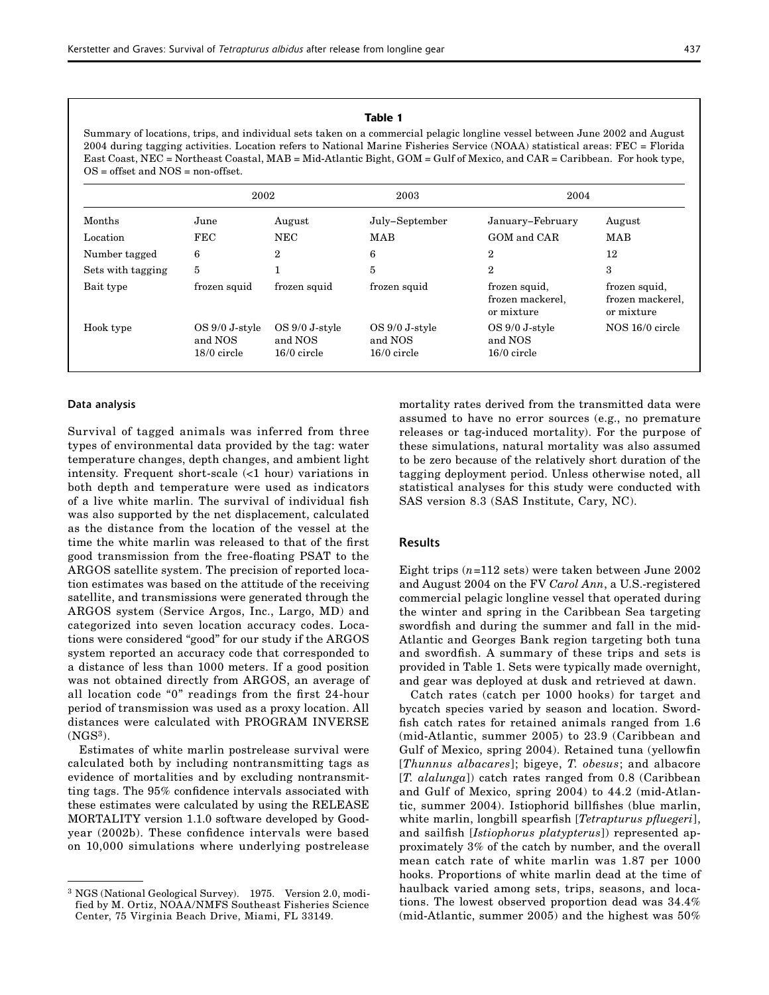### Table 1

Summary of locations, trips, and individual sets taken on a commercial pelagic longline vessel between June 2002 and August 2004 during tagging activities. Location refers to National Marine Fisheries Service (NOAA) statistical areas: FEC = Florida East Coast, NEC = Northeast Coastal, MAB = Mid-Atlantic Bight, GOM = Gulf of Mexico, and CAR = Caribbean. For hook type, OS = offset and NOS = non-offset.

|                   | 2002                                          |                                               | 2003                                       | 2004                                            |                                                 |  |
|-------------------|-----------------------------------------------|-----------------------------------------------|--------------------------------------------|-------------------------------------------------|-------------------------------------------------|--|
| Months            | June                                          | August                                        | July-September                             | January-February                                | August                                          |  |
| Location          | <b>FEC</b>                                    | <b>NEC</b>                                    | MAB                                        | GOM and CAR                                     | MAB                                             |  |
| Number tagged     | 6                                             | $\overline{2}$                                | 6                                          | $\overline{2}$                                  | 12                                              |  |
| Sets with tagging | 5                                             | ц                                             | 5                                          | $\overline{2}$                                  | 3                                               |  |
| Bait type         | frozen squid                                  | frozen squid                                  | frozen squid                               | frozen squid,<br>frozen mackerel,<br>or mixture | frozen squid,<br>frozen mackerel,<br>or mixture |  |
| Hook type         | $OS 9/0 J$ -style<br>and NOS<br>$18/0$ circle | $OS 9/0 J$ -style<br>and NOS<br>$16/0$ circle | OS 9/0 J-style<br>and NOS<br>$16/0$ circle | OS 9/0 J-style<br>and NOS<br>$16/0$ circle      | NOS 16/0 circle                                 |  |

#### Data analysis

Survival of tagged animals was inferred from three types of environmental data provided by the tag: water temperature changes, depth changes, and ambient light intensity. Frequent short-scale (<1 hour) variations in both depth and temperature were used as indicators of a live white marlin. The survival of individual fish was also supported by the net displacement, calculated as the distance from the location of the vessel at the time the white marlin was released to that of the first good transmission from the free-floating PSAT to the ARGOS satellite system. The precision of reported location estimates was based on the attitude of the receiving satellite, and transmissions were generated through the ARGOS system (Service Argos, Inc., Largo, MD) and categorized into seven location accuracy codes. Locations were considered "good" for our study if the ARGOS system reported an accuracy code that corresponded to a distance of less than 1000 meters. If a good position was not obtained directly from ARGOS, an average of all location code "0" readings from the first 24-hour period of transmission was used as a proxy location. All distances were calculated with PROGRAM INVERSE  $(NGS<sup>3</sup>)$ .

Estimates of white marlin postrelease survival were calculated both by including nontransmitting tags as evidence of mortalities and by excluding nontransmitting tags. The 95% confidence intervals associated with these estimates were calculated by using the RELEASE MORTALITY version 1.1.0 software developed by Goodyear (2002b). These confidence intervals were based on 10,000 simulations where underlying postrelease

mortality rates derived from the transmitted data were assumed to have no error sources (e.g., no premature releases or tag-induced mortality). For the purpose of these simulations, natural mortality was also assumed to be zero because of the relatively short duration of the tagging deployment period. Unless otherwise noted, all statistical analyses for this study were conducted with SAS version 8.3 (SAS Institute, Cary, NC).

# Results

Eight trips (*n*=112 sets) were taken between June 2002 and August 2004 on the FV *Carol Ann*, a U.S.-registered commercial pelagic longline vessel that operated during the winter and spring in the Caribbean Sea targeting swordfish and during the summer and fall in the mid-Atlantic and Georges Bank region targeting both tuna and swordfish. A summary of these trips and sets is provided in Table 1. Sets were typically made overnight, and gear was deployed at dusk and retrieved at dawn.

Catch rates (catch per 1000 hooks) for target and bycatch species varied by season and location. Swordfish catch rates for retained animals ranged from 1.6 (mid-Atlantic, summer 2005) to 23.9 (Caribbean and Gulf of Mexico, spring 2004). Retained tuna (yellowfin [*Thunnus albacares*]; bigeye, *T. obesus*; and albacore [*T. alalunga*]) catch rates ranged from 0.8 (Caribbean and Gulf of Mexico, spring 2004) to 44.2 (mid-Atlantic, summer 2004). Istiophorid billfishes (blue marlin, white marlin, longbill spearfish [*Tetrapturus pfluegeri*], and sailfish [*Istiophorus platypterus*]) represented approximately 3% of the catch by number, and the overall mean catch rate of white marlin was 1.87 per 1000 hooks. Proportions of white marlin dead at the time of haulback varied among sets, trips, seasons, and locations. The lowest observed proportion dead was 34.4% (mid-Atlantic, summer 2005) and the highest was 50%

<sup>3</sup> NGS (National Geological Survey). 1975. Version 2.0, modified by M. Ortiz, NOAA/NMFS Southeast Fisheries Science Center, 75 Virginia Beach Drive, Miami, FL 33149.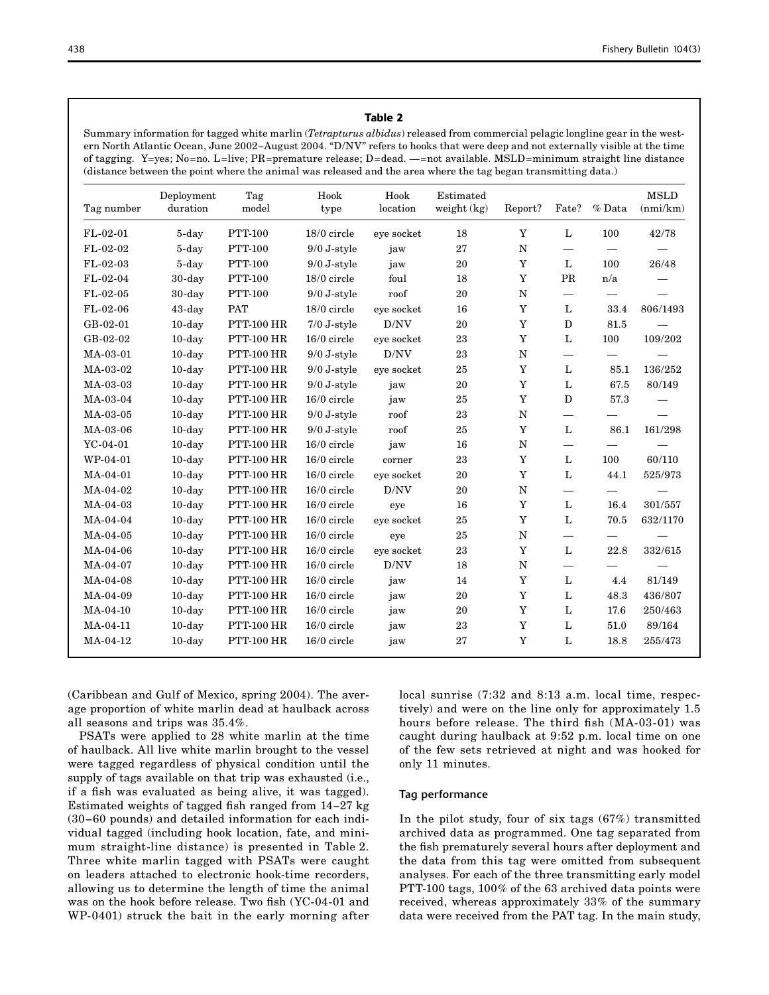# Table 2

Summary information for tagged white marlin (*Tetrapturus albidus*) released from commercial pelagic longline gear in the western North Atlantic Ocean, June 2002−August 2004. "D/NV" refers to hooks that were deep and not externally visible at the time of tagging. Y=yes; No=no. L=live; PR=premature release; D=dead. —=not available. MSLD=minimum straight line distance (distance between the point where the animal was released and the area where the tag began transmitting data.)

| Tag number | Deployment<br>duration | Tag<br>model      | Hook<br>type  | Hook<br>location | Estimated<br>weight $(kg)$ | Report?     | Fate?                    | % Data                       | <b>MSLD</b><br>(nmi/km) |
|------------|------------------------|-------------------|---------------|------------------|----------------------------|-------------|--------------------------|------------------------------|-------------------------|
| $FL-02-01$ | 5-day                  | <b>PTT-100</b>    | 18/0 circle   | eye socket       | 18                         | Y           | L                        | 100                          | 42/78                   |
| FL-02-02   | 5-day                  | <b>PTT-100</b>    | $9/0$ J-style | jaw              | 27                         | N           | $\overline{\phantom{0}}$ |                              |                         |
| $FL-02-03$ | 5-day                  | <b>PTT-100</b>    | $9/0$ J-style | jaw              | 20                         | Y           | L                        | 100                          | 26/48                   |
| $FL-02-04$ | $30$ -day              | <b>PTT-100</b>    | 18/0 circle   | foul             | 18                         | Y           | PR                       | n/a                          |                         |
| $FL-02-05$ | $30$ -day              | <b>PTT-100</b>    | $9/0$ J-style | roof             | 20                         | N           |                          |                              |                         |
| $FL-02-06$ | 43-day                 | <b>PAT</b>        | $18/0$ circle | eye socket       | 16                         | $\mathbf Y$ | L                        | 33.4                         | 806/1493                |
| GB-02-01   | $10$ -day              | <b>PTT-100 HR</b> | $7/0$ J-style | D/NV             | 20                         | Y           | D                        | 81.5                         |                         |
| GB-02-02   | $10$ -day              | <b>PTT-100 HR</b> | $16/0$ circle | eye socket       | 23                         | $\mathbf Y$ | L                        | 100                          | 109/202                 |
| MA-03-01   | $10$ -day              | <b>PTT-100 HR</b> | $9/0$ J-style | D/NV             | 23                         | $\mathbf N$ |                          | —                            |                         |
| MA-03-02   | $10$ -day              | <b>PTT-100 HR</b> | $9/0$ J-style | eye socket       | 25                         | Y           | L                        | 85.1                         | 136/252                 |
| MA-03-03   | $10$ -day              | <b>PTT-100 HR</b> | $9/0$ J-style | jaw              | 20                         | $\mathbf Y$ | L                        | 67.5                         | 80/149                  |
| MA-03-04   | $10$ -day              | <b>PTT-100 HR</b> | $16/0$ circle | jaw              | 25                         | Y           | D                        | 57.3                         |                         |
| MA-03-05   | $10$ -day              | <b>PTT-100 HR</b> | $9/0$ J-style | roof             | 23                         | $\mathbf N$ | $\overline{\phantom{0}}$ |                              |                         |
| MA-03-06   | $10$ -day              | <b>PTT-100 HR</b> | $9/0$ J-style | roof             | 25                         | Y           | $\mathbf{L}$             | 86.1                         | 161/298                 |
| $YC-04-01$ | $10$ -day              | <b>PTT-100 HR</b> | $16/0$ circle | jaw              | 16                         | N           |                          |                              |                         |
| WP-04-01   | $10$ -day              | <b>PTT-100 HR</b> | $16/0$ circle | corner           | 23                         | $\mathbf Y$ | L                        | 100                          | 60/110                  |
| MA-04-01   | $10$ -day              | <b>PTT-100 HR</b> | $16/0$ circle | eve socket       | 20                         | Y           | L                        | 44.1                         | 525/973                 |
| MA-04-02   | $10$ -day              | <b>PTT-100 HR</b> | $16/0$ circle | D/NV             | 20                         | N           | $\overline{\phantom{0}}$ | $\overline{\phantom{m}}$     |                         |
| MA-04-03   | $10$ -day              | <b>PTT-100 HR</b> | $16/0$ circle | eye              | 16                         | Y           | L                        | 16.4                         | 301/557                 |
| MA-04-04   | $10$ -day              | <b>PTT-100 HR</b> | $16/0$ circle | eve socket       | 25                         | Y           | L                        | 70.5                         | 632/1170                |
| MA-04-05   | $10$ -day              | <b>PTT-100 HR</b> | $16/0$ circle | eye              | 25                         | N           | $\overline{\phantom{0}}$ | $\overbrace{\qquad \qquad }$ |                         |
| MA-04-06   | $10$ -day              | <b>PTT-100 HR</b> | $16/0$ circle | eye socket       | 23                         | Y           | L                        | 22.8                         | 332/615                 |
| MA-04-07   | $10$ -day              | <b>PTT-100 HR</b> | $16/0$ circle | D/NV             | 18                         | N           |                          |                              |                         |
| MA-04-08   | $10$ -day              | <b>PTT-100 HR</b> | $16/0$ circle | jaw              | 14                         | Y           | L                        | 4.4                          | 81/149                  |
| MA-04-09   | $10$ -day              | <b>PTT-100 HR</b> | $16/0$ circle | jaw              | 20                         | Y           | L                        | 48.3                         | 436/807                 |
| MA-04-10   | $10$ -day              | <b>PTT-100 HR</b> | $16/0$ circle | jaw              | 20                         | Y           | L                        | 17.6                         | 250/463                 |
| MA-04-11   | $10$ -day              | <b>PTT-100 HR</b> | $16/0$ circle | jaw              | 23                         | Y           | L                        | 51.0                         | 89/164                  |
| MA-04-12   | $10$ -day              | <b>PTT-100 HR</b> | $16/0$ circle | jaw              | 27                         | Y           | L                        | 18.8                         | 255/473                 |

(Caribbean and Gulf of Mexico, spring 2004). The aver- local sunrise (7:32 and 8:13 a.m. local time, respecage proportion of white marlin dead at haulback across tively) and were on the line only for approximately 1.5 all seasons and trips was  $35.4\%$ . hours before release. The third fish (MA-03-01) was

of haulback. All live white marlin brought to the vessel of the few sets retrieved at night and was hooked for were tagged regardless of physical condition until the only 11 minutes. supply of tags available on that trip was exhausted (i.e., if a fish was evaluated as being alive, it was tagged). Tag performance Estimated weights of tagged fish ranged from 14−27 kg (30−60 pounds) and detailed information for each indi- In the pilot study, four of six tags (67%) transmitted vidual tagged (including hook location, fate, and mini- archived data as programmed. One tag separated from mum straight-line distance) is presented in Table 2. the fish prematurely several hours after deployment and Three white marlin tagged with PSATs were caught the data from this tag were omitted from subsequent on leaders attached to electronic hook-time recorders, analyses. For each of the three transmitting early model allowing us to determine the length of time the animal PTT-100 tags, 100% of the 63 archived data points were was on the hook before release. Two fish (YC-04-01 and received, whereas approximately 33% of the summary WP-0401) struck the bait in the early morning after data were received from the PAT tag. In the main study,

PSATs were applied to 28 white marlin at the time caught during haulback at 9:52 p.m. local time on one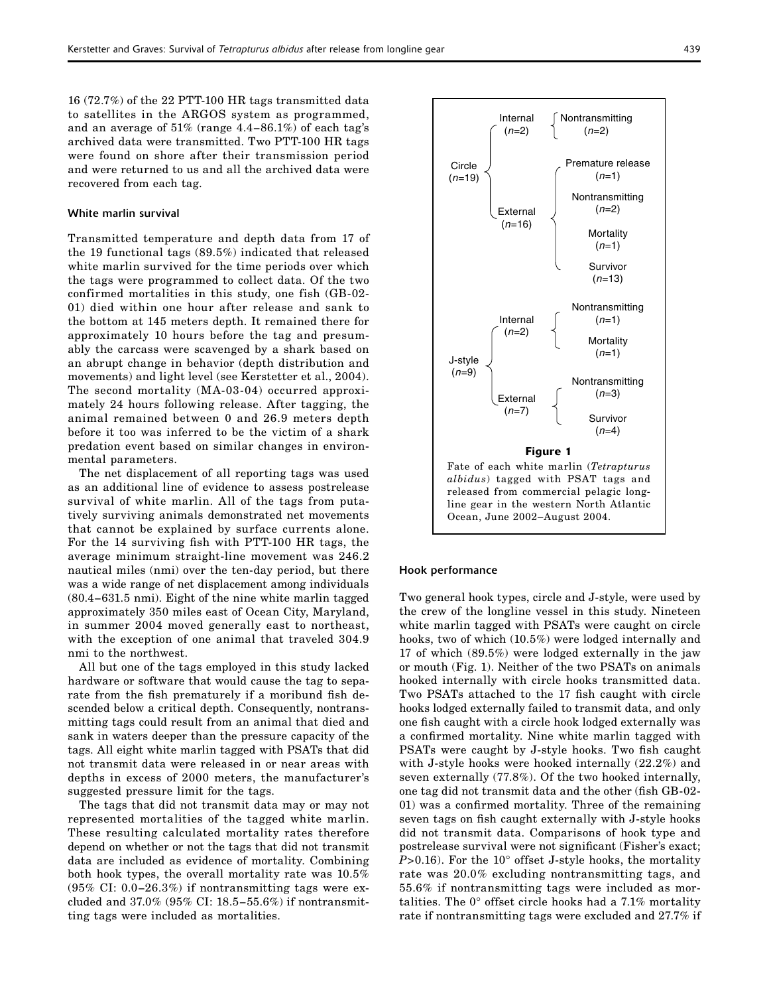16 (72.7%) of the 22 PTT-100 HR tags transmitted data to satellites in the ARGOS system as programmed, and an average of 51% (range 4.4−86.1%) of each tag's archived data were transmitted. Two PTT-100 HR tags were found on shore after their transmission period and were returned to us and all the archived data were recovered from each tag.

#### White marlin survival

Transmitted temperature and depth data from 17 of the 19 functional tags (89.5%) indicated that released white marlin survived for the time periods over which the tags were programmed to collect data. Of the two confirmed mortalities in this study, one fish (GB-02- 01) died within one hour after release and sank to the bottom at 145 meters depth. It remained there for approximately 10 hours before the tag and presumably the carcass were scavenged by a shark based on an abrupt change in behavior (depth distribution and movements) and light level (see Kerstetter et al., 2004). The second mortality (MA-03-04) occurred approximately 24 hours following release. After tagging, the animal remained between 0 and 26.9 meters depth before it too was inferred to be the victim of a shark predation event based on similar changes in environmental parameters.

The net displacement of all reporting tags was used as an additional line of evidence to assess postrelease survival of white marlin. All of the tags from putatively surviving animals demonstrated net movements that cannot be explained by surface currents alone. For the 14 surviving fish with PTT-100 HR tags, the average minimum straight-line movement was 246.2 nautical miles (nmi) over the ten-day period, but there was a wide range of net displacement among individuals (80.4−631.5 nmi). Eight of the nine white marlin tagged approximately 350 miles east of Ocean City, Maryland, in summer 2004 moved generally east to northeast, with the exception of one animal that traveled 304.9 nmi to the northwest.

All but one of the tags employed in this study lacked hardware or software that would cause the tag to separate from the fish prematurely if a moribund fish descended below a critical depth. Consequently, nontransmitting tags could result from an animal that died and sank in waters deeper than the pressure capacity of the tags. All eight white marlin tagged with PSATs that did not transmit data were released in or near areas with depths in excess of 2000 meters, the manufacturer's suggested pressure limit for the tags.

The tags that did not transmit data may or may not represented mortalities of the tagged white marlin. These resulting calculated mortality rates therefore depend on whether or not the tags that did not transmit data are included as evidence of mortality. Combining both hook types, the overall mortality rate was 10.5% (95% CI: 0.0−26.3%) if nontransmitting tags were excluded and 37.0% (95% CI: 18.5−55.6%) if nontransmitting tags were included as mortalities.



#### Hook performance

Two general hook types, circle and J-style, were used by the crew of the longline vessel in this study. Nineteen white marlin tagged with PSATs were caught on circle hooks, two of which (10.5%) were lodged internally and 17 of which (89.5%) were lodged externally in the jaw or mouth (Fig. 1). Neither of the two PSATs on animals hooked internally with circle hooks transmitted data. Two PSATs attached to the 17 fish caught with circle hooks lodged externally failed to transmit data, and only one fish caught with a circle hook lodged externally was a confirmed mortality. Nine white marlin tagged with PSATs were caught by J-style hooks. Two fish caught with J-style hooks were hooked internally (22.2%) and seven externally (77.8%). Of the two hooked internally, one tag did not transmit data and the other (fish GB-02- 01) was a confirmed mortality. Three of the remaining seven tags on fish caught externally with J-style hooks did not transmit data. Comparisons of hook type and postrelease survival were not significant (Fisher's exact; *P*>0.16). For the 10° offset J-style hooks, the mortality rate was 20.0% excluding nontransmitting tags, and 55.6% if nontransmitting tags were included as mortalities. The 0° offset circle hooks had a 7.1% mortality rate if nontransmitting tags were excluded and 27.7% if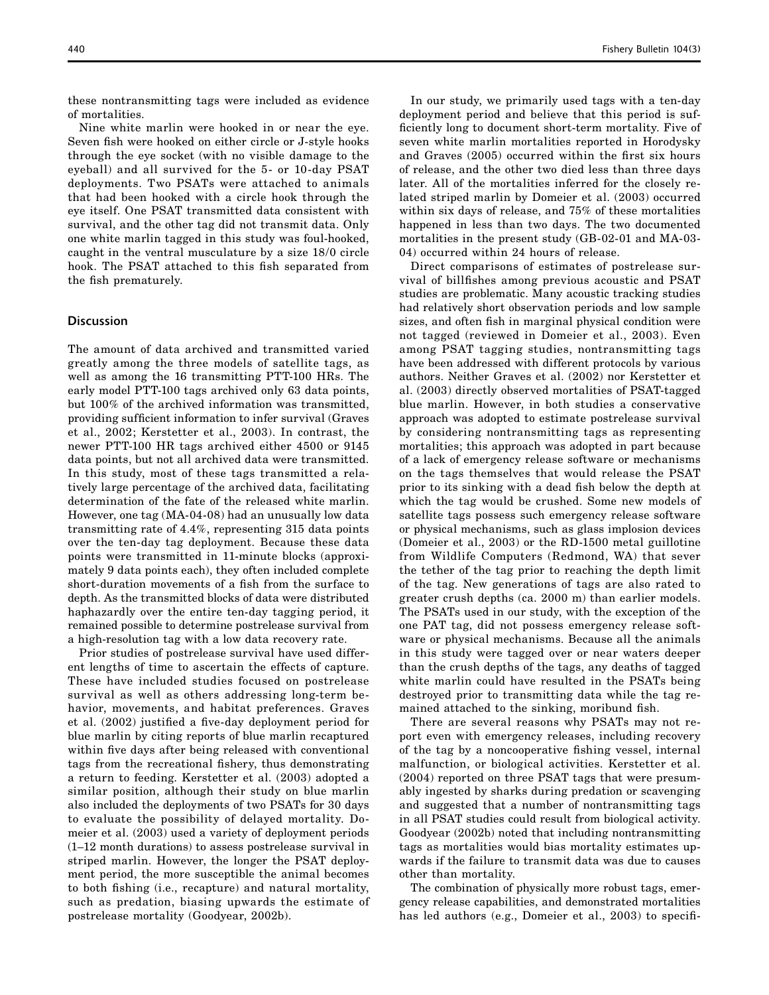these nontransmitting tags were included as evidence of mortalities.

Nine white marlin were hooked in or near the eye. Seven fish were hooked on either circle or J-style hooks through the eye socket (with no visible damage to the eyeball) and all survived for the 5- or 10-day PSAT deployments. Two PSATs were attached to animals that had been hooked with a circle hook through the eye itself. One PSAT transmitted data consistent with survival, and the other tag did not transmit data. Only one white marlin tagged in this study was foul-hooked, caught in the ventral musculature by a size 18/0 circle hook. The PSAT attached to this fish separated from the fish prematurely.

# **Discussion**

The amount of data archived and transmitted varied greatly among the three models of satellite tags, as well as among the 16 transmitting PTT-100 HRs. The early model PTT-100 tags archived only 63 data points, but 100% of the archived information was transmitted, providing sufficient information to infer survival (Graves et al., 2002; Kerstetter et al., 2003). In contrast, the newer PTT-100 HR tags archived either 4500 or 9145 data points, but not all archived data were transmitted. In this study, most of these tags transmitted a relatively large percentage of the archived data, facilitating determination of the fate of the released white marlin. However, one tag (MA-04-08) had an unusually low data transmitting rate of 4.4%, representing 315 data points over the ten-day tag deployment. Because these data points were transmitted in 11-minute blocks (approximately 9 data points each), they often included complete short-duration movements of a fish from the surface to depth. As the transmitted blocks of data were distributed haphazardly over the entire ten-day tagging period, it remained possible to determine postrelease survival from a high-resolution tag with a low data recovery rate.

Prior studies of postrelease survival have used different lengths of time to ascertain the effects of capture. These have included studies focused on postrelease survival as well as others addressing long-term behavior, movements, and habitat preferences. Graves et al. (2002) justified a five-day deployment period for blue marlin by citing reports of blue marlin recaptured within five days after being released with conventional tags from the recreational fishery, thus demonstrating a return to feeding. Kerstetter et al. (2003) adopted a similar position, although their study on blue marlin also included the deployments of two PSATs for 30 days to evaluate the possibility of delayed mortality. Domeier et al. (2003) used a variety of deployment periods (1–12 month durations) to assess postrelease survival in striped marlin. However, the longer the PSAT deployment period, the more susceptible the animal becomes to both fishing (i.e., recapture) and natural mortality, such as predation, biasing upwards the estimate of postrelease mortality (Goodyear, 2002b).

In our study, we primarily used tags with a ten-day deployment period and believe that this period is sufficiently long to document short-term mortality. Five of seven white marlin mortalities reported in Horodysky and Graves (2005) occurred within the first six hours of release, and the other two died less than three days later. All of the mortalities inferred for the closely related striped marlin by Domeier et al. (2003) occurred within six days of release, and 75% of these mortalities happened in less than two days. The two documented mortalities in the present study (GB-02-01 and MA-03- 04) occurred within 24 hours of release.

Direct comparisons of estimates of postrelease survival of billfishes among previous acoustic and PSAT studies are problematic. Many acoustic tracking studies had relatively short observation periods and low sample sizes, and often fish in marginal physical condition were not tagged (reviewed in Domeier et al., 2003). Even among PSAT tagging studies, nontransmitting tags have been addressed with different protocols by various authors. Neither Graves et al. (2002) nor Kerstetter et al. (2003) directly observed mortalities of PSAT-tagged blue marlin. However, in both studies a conservative approach was adopted to estimate postrelease survival by considering nontransmitting tags as representing mortalities; this approach was adopted in part because of a lack of emergency release software or mechanisms on the tags themselves that would release the PSAT prior to its sinking with a dead fish below the depth at which the tag would be crushed. Some new models of satellite tags possess such emergency release software or physical mechanisms, such as glass implosion devices (Domeier et al., 2003) or the RD-1500 metal guillotine from Wildlife Computers (Redmond, WA) that sever the tether of the tag prior to reaching the depth limit of the tag. New generations of tags are also rated to greater crush depths (ca. 2000 m) than earlier models. The PSATs used in our study, with the exception of the one PAT tag, did not possess emergency release software or physical mechanisms. Because all the animals in this study were tagged over or near waters deeper than the crush depths of the tags, any deaths of tagged white marlin could have resulted in the PSATs being destroyed prior to transmitting data while the tag remained attached to the sinking, moribund fish.

There are several reasons why PSATs may not report even with emergency releases, including recovery of the tag by a noncooperative fishing vessel, internal malfunction, or biological activities. Kerstetter et al. (2004) reported on three PSAT tags that were presumably ingested by sharks during predation or scavenging and suggested that a number of nontransmitting tags in all PSAT studies could result from biological activity. Goodyear (2002b) noted that including nontransmitting tags as mortalities would bias mortality estimates upwards if the failure to transmit data was due to causes other than mortality.

The combination of physically more robust tags, emergency release capabilities, and demonstrated mortalities has led authors (e.g., Domeier et al., 2003) to specifi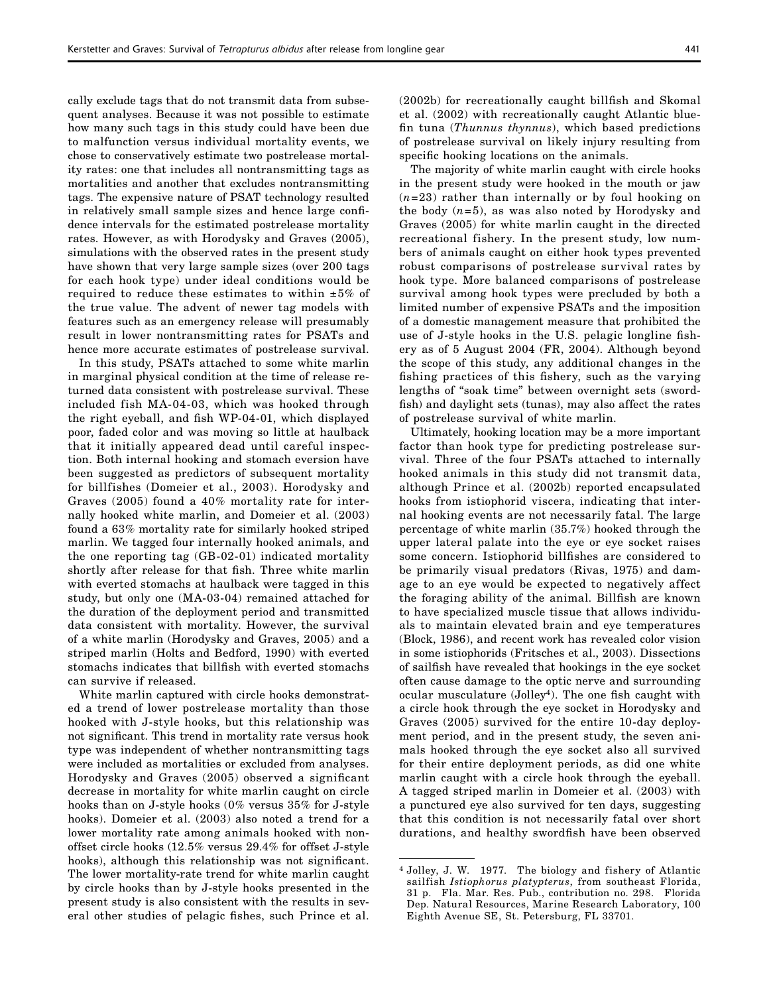cally exclude tags that do not transmit data from subsequent analyses. Because it was not possible to estimate how many such tags in this study could have been due to malfunction versus individual mortality events, we chose to conservatively estimate two postrelease mortality rates: one that includes all nontransmitting tags as mortalities and another that excludes nontransmitting tags. The expensive nature of PSAT technology resulted in relatively small sample sizes and hence large confidence intervals for the estimated postrelease mortality rates. However, as with Horodysky and Graves (2005), simulations with the observed rates in the present study have shown that very large sample sizes (over 200 tags for each hook type) under ideal conditions would be required to reduce these estimates to within  $\pm 5\%$  of the true value. The advent of newer tag models with features such as an emergency release will presumably result in lower nontransmitting rates for PSATs and hence more accurate estimates of postrelease survival.

In this study, PSATs attached to some white marlin in marginal physical condition at the time of release returned data consistent with postrelease survival. These included fish MA-04-03, which was hooked through the right eyeball, and fish WP-04-01, which displayed poor, faded color and was moving so little at haulback that it initially appeared dead until careful inspection. Both internal hooking and stomach eversion have been suggested as predictors of subsequent mortality for billfishes (Domeier et al., 2003). Horodysky and Graves (2005) found a 40% mortality rate for internally hooked white marlin, and Domeier et al. (2003) found a 63% mortality rate for similarly hooked striped marlin. We tagged four internally hooked animals, and the one reporting tag (GB-02-01) indicated mortality shortly after release for that fish. Three white marlin with everted stomachs at haulback were tagged in this study, but only one (MA-03-04) remained attached for the duration of the deployment period and transmitted data consistent with mortality. However, the survival of a white marlin (Horodysky and Graves, 2005) and a striped marlin (Holts and Bedford, 1990) with everted stomachs indicates that billfish with everted stomachs can survive if released.

White marlin captured with circle hooks demonstrated a trend of lower postrelease mortality than those hooked with J-style hooks, but this relationship was not significant. This trend in mortality rate versus hook type was independent of whether nontransmitting tags were included as mortalities or excluded from analyses. Horodysky and Graves (2005) observed a significant decrease in mortality for white marlin caught on circle hooks than on J-style hooks (0% versus 35% for J-style hooks). Domeier et al. (2003) also noted a trend for a lower mortality rate among animals hooked with nonoffset circle hooks (12.5% versus 29.4% for offset J-style hooks), although this relationship was not significant. The lower mortality-rate trend for white marlin caught by circle hooks than by J-style hooks presented in the present study is also consistent with the results in several other studies of pelagic fishes, such Prince et al. (2002b) for recreationally caught billfish and Skomal et al. (2002) with recreationally caught Atlantic bluefin tuna (*Thunnus thynnus*), which based predictions of postrelease survival on likely injury resulting from specific hooking locations on the animals.

The majority of white marlin caught with circle hooks in the present study were hooked in the mouth or jaw (*n*=23) rather than internally or by foul hooking on the body (*n*=5), as was also noted by Horodysky and Graves (2005) for white marlin caught in the directed recreational fishery. In the present study, low numbers of animals caught on either hook types prevented robust comparisons of postrelease survival rates by hook type. More balanced comparisons of postrelease survival among hook types were precluded by both a limited number of expensive PSATs and the imposition of a domestic management measure that prohibited the use of J-style hooks in the U.S. pelagic longline fishery as of 5 August 2004 (FR, 2004). Although beyond the scope of this study, any additional changes in the fishing practices of this fishery, such as the varying lengths of "soak time" between overnight sets (swordfish) and daylight sets (tunas), may also affect the rates of postrelease survival of white marlin.

Ultimately, hooking location may be a more important factor than hook type for predicting postrelease survival. Three of the four PSATs attached to internally hooked animals in this study did not transmit data, although Prince et al. (2002b) reported encapsulated hooks from istiophorid viscera, indicating that internal hooking events are not necessarily fatal. The large percentage of white marlin (35.7%) hooked through the upper lateral palate into the eye or eye socket raises some concern. Istiophorid billfishes are considered to be primarily visual predators (Rivas, 1975) and damage to an eye would be expected to negatively affect the foraging ability of the animal. Billfish are known to have specialized muscle tissue that allows individuals to maintain elevated brain and eye temperatures (Block, 1986), and recent work has revealed color vision in some istiophorids (Fritsches et al., 2003). Dissections of sailfish have revealed that hookings in the eye socket often cause damage to the optic nerve and surrounding ocular musculature  $(Jolley<sup>4</sup>)$ . The one fish caught with a circle hook through the eye socket in Horodysky and Graves (2005) survived for the entire 10-day deployment period, and in the present study, the seven animals hooked through the eye socket also all survived for their entire deployment periods, as did one white marlin caught with a circle hook through the eyeball. A tagged striped marlin in Domeier et al. (2003) with a punctured eye also survived for ten days, suggesting that this condition is not necessarily fatal over short durations, and healthy swordfish have been observed

<sup>4</sup> Jolley, J. W. 1977. The biology and fishery of Atlantic sailfish *Istiophorus platypterus*, from southeast Florida, 31 p. Fla. Mar. Res. Pub., contribution no. 298. Florida Dep. Natural Resources, Marine Research Laboratory, 100 Eighth Avenue SE, St. Petersburg, FL 33701.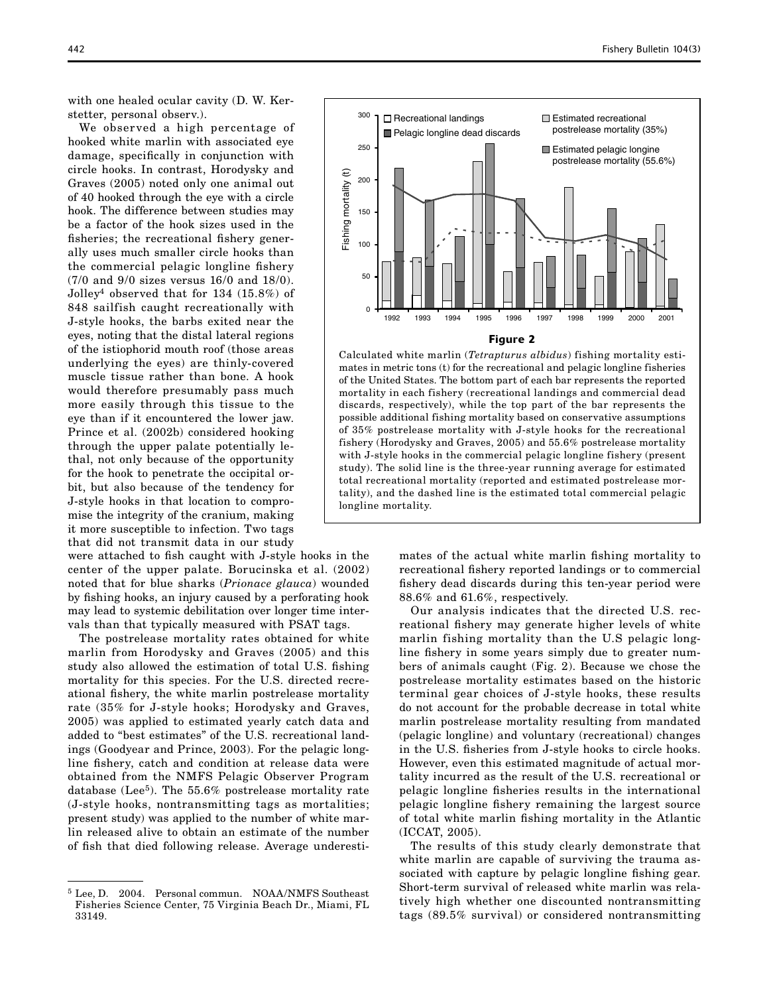with one healed ocular cavity (D. W. Kerstetter, personal observ.).

We observed a high percentage of hooked white marlin with associated eye damage, specifically in conjunction with circle hooks. In contrast, Horodysky and Graves (2005) noted only one animal out of 40 hooked through the eye with a circle hook. The difference between studies may be a factor of the hook sizes used in the fisheries; the recreational fishery generally uses much smaller circle hooks than the commercial pelagic longline fishery (7/0 and 9/0 sizes versus 16/0 and 18/0). Jolley4 observed that for 134 (15.8%) of 848 sailfish caught recreationally with J-style hooks, the barbs exited near the eyes, noting that the distal lateral regions of the istiophorid mouth roof (those areas underlying the eyes) are thinly-covered muscle tissue rather than bone. A hook would therefore presumably pass much more easily through this tissue to the eye than if it encountered the lower jaw. Prince et al. (2002b) considered hooking through the upper palate potentially lethal, not only because of the opportunity for the hook to penetrate the occipital orbit, but also because of the tendency for J-style hooks in that location to compromise the integrity of the cranium, making it more susceptible to infection. Two tags that did not transmit data in our study

were attached to fish caught with J-style hooks in the center of the upper palate. Borucinska et al. (2002) noted that for blue sharks (*Prionace glauca*) wounded by fishing hooks, an injury caused by a perforating hook may lead to systemic debilitation over longer time intervals than that typically measured with PSAT tags.

The postrelease mortality rates obtained for white marlin from Horodysky and Graves (2005) and this study also allowed the estimation of total U.S. fishing mortality for this species. For the U.S. directed recreational fishery, the white marlin postrelease mortality rate (35% for J-style hooks; Horodysky and Graves, 2005) was applied to estimated yearly catch data and added to "best estimates" of the U.S. recreational landings (Goodyear and Prince, 2003). For the pelagic longline fishery, catch and condition at release data were obtained from the NMFS Pelagic Observer Program database (Lee<sup>5</sup>). The 55.6% postrelease mortality rate (J-style hooks, nontransmitting tags as mortalities; present study) was applied to the number of white marlin released alive to obtain an estimate of the number of fish that died following release. Average underesti-



#### Fi gure 2

Calculated white marlin (*Tetrapturus albidus*) fishing mortality estimates in metric tons (t) for the recreational and pelagic longline fisheries of the United States. The bottom part of each bar represents the reported mortality in each fishery (recreational landings and commercial dead discards, respectively), while the top part of the bar represents the possible additional fishing mortality based on conservative assumptions of 35% postrelease mortality with J-style hooks for the recreational fishery (Horodysky and Graves, 2005) and 55.6% postrelease mortality with J-style hooks in the commercial pelagic longline fishery (present study). The solid line is the three-year running average for estimated total recreational mortality (reported and estimated postrelease mortality), and the dashed line is the estimated total commercial pelagic longline mortality.

> mates of the actual white marlin fishing mortality to recreational fishery reported landings or to commercial fishery dead discards during this ten-year period were 88.6% and 61.6%, respectively.

> Our analysis indicates that the directed U.S. recreational fishery may generate higher levels of white marlin fishing mortality than the U.S pelagic longline fishery in some years simply due to greater numbers of animals caught (Fig. 2). Because we chose the postrelease mortality estimates based on the historic terminal gear choices of J-style hooks, these results do not account for the probable decrease in total white marlin postrelease mortality resulting from mandated (pelagic longline) and voluntary (recreational) changes in the U.S. fisheries from J-style hooks to circle hooks. However, even this estimated magnitude of actual mortality incurred as the result of the U.S. recreational or pelagic longline fisheries results in the international pelagic longline fishery remaining the largest source of total white marlin fishing mortality in the Atlantic (ICCAT, 2005).

> The results of this study clearly demonstrate that white marlin are capable of surviving the trauma associated with capture by pelagic longline fishing gear. Short-term survival of released white marlin was relatively high whether one discounted nontransmitting tags (89.5% survival) or considered nontransmitting

<sup>&</sup>lt;sup>5</sup> Lee, D. 2004. Personal commun. NOAA/NMFS Southeast Fisheries Science Center, 75 Virginia Beach Dr., Miami, FL 33149.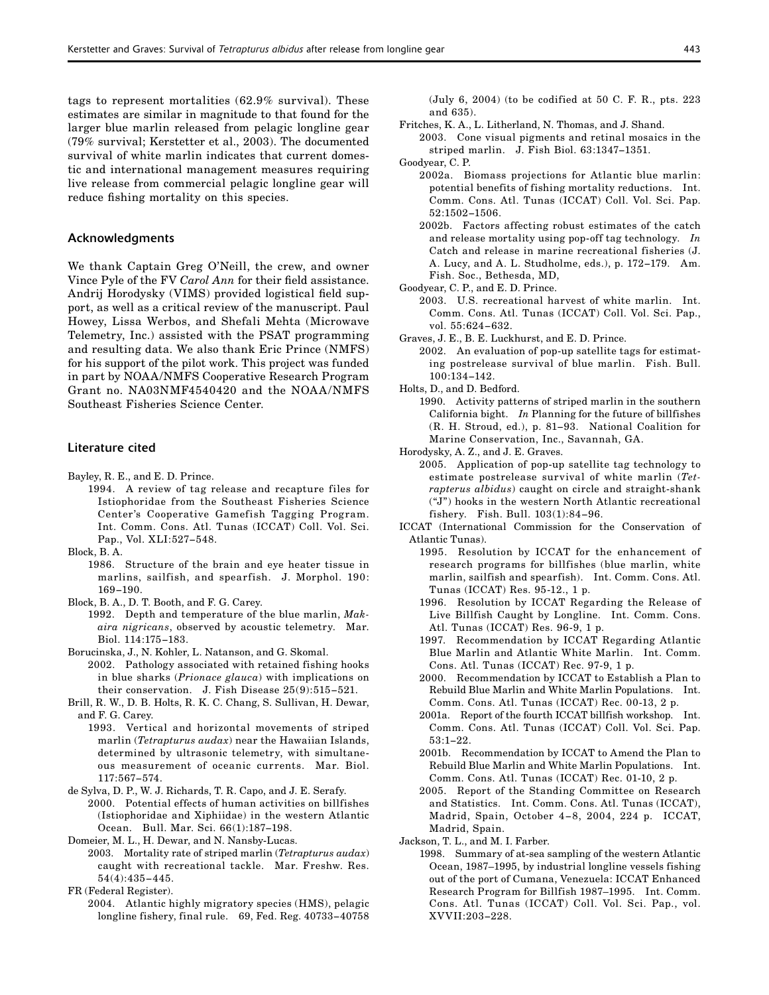tags to represent mortalities (62.9% survival). These estimates are similar in magnitude to that found for the larger blue marlin released from pelagic longline gear (79% survival; Kerstetter et al., 2003). The documented survival of white marlin indicates that current domestic and international management measures requiring live release from commercial pelagic longline gear will reduce fishing mortality on this species.

#### Acknowledgments

We thank Captain Greg O'Neill, the crew, and owner Vince Pyle of the FV *Carol Ann* for their field assistance. Andrij Horodysky (VIMS) provided logistical field support, as well as a critical review of the manuscript. Paul Howey, Lissa Werbos, and Shefali Mehta (Microwave Telemetry, Inc.) assisted with the PSAT programming and resulting data. We also thank Eric Prince (NMFS) for his support of the pilot work. This project was funded in part by NOAA/NMFS Cooperative Research Program Grant no. NA03NMF4540420 and the NOAA/NMFS Southeast Fisheries Science Center.

# Literature cited

- Bayley, R. E., and E. D. Prince.
	- 1994. A review of tag release and recapture files for Istiophoridae from the Southeast Fisheries Science Center's Cooperative Gamefish Tagging Program. Int. Comm. Cons. Atl. Tunas (ICCAT) Coll. Vol. Sci. Pap., Vol. XLI:527−548.
- Block, B. A.
	- 1986. Structure of the brain and eye heater tissue in marlins, sailfish, and spearfish. J. Morphol. 190: 169−190.
- Block, B. A., D. T. Booth, and F. G. Carey.
	- 1992. Depth and temperature of the blue marlin, *Makaira nigricans*, observed by acoustic telemetry. Mar. Biol. 114:175−183.
- Borucinska, J., N. Kohler, L. Natanson, and G. Skomal.
- 2002. Pathology associated with retained fishing hooks in blue sharks (*Prionace glauca*) with implications on their conservation. J. Fish Disease 25(9):515−521.
- Brill, R. W., D. B. Holts, R. K. C. Chang, S. Sullivan, H. Dewar, and F. G. Carey.
	- 1993. Vertical and horizontal movements of striped marlin (*Tetrapturus audax*) near the Hawaiian Islands, determined by ultrasonic telemetry, with simultaneous measurement of oceanic currents. Mar. Biol. 117:567−574.
- de Sylva, D. P., W. J. Richards, T. R. Capo, and J. E. Serafy.
	- 2000. Potential effects of human activities on billfishes (Istiophoridae and Xiphiidae) in the western Atlantic Ocean. Bull. Mar. Sci. 66(1):187−198.
- Domeier, M. L., H. Dewar, and N. Nansby-Lucas.
- 2003. Mortality rate of striped marlin (*Tetrapturus audax*) caught with recreational tackle. Mar. Freshw. Res. 54(4):435−445.
- FR (Federal Register).
	- 2004. Atlantic highly migratory species (HMS), pelagic longline fishery, final rule. 69, Fed. Reg. 40733−40758

(July 6, 2004) (to be codified at 50 C. F. R., pts. 223 and 635).

- Fritches, K. A., L. Litherland, N. Thomas, and J. Shand.
- 2003. Cone visual pigments and retinal mosaics in the striped marlin. J. Fish Biol. 63:1347−1351.
- Goodyear, C. P.
	- 2002a. Biomass projections for Atlantic blue marlin: potential benefits of fishing mortality reductions. Int. Comm. Cons. Atl. Tunas (ICCAT) Coll. Vol. Sci. Pap. 52:1502−1506.
	- 2002b. Factors affecting robust estimates of the catch and release mortality using pop-off tag technology. *In* Catch and release in marine recreational fisheries (J. A. Lucy, and A. L. Studholme, eds.), p. 172−179. Am. Fish. Soc., Bethesda, MD,
- Goodyear, C. P., and E. D. Prince.
	- 2003. U.S. recreational harvest of white marlin. Int. Comm. Cons. Atl. Tunas (ICCAT) Coll. Vol. Sci. Pap., vol. 55:624−632.
- Graves, J. E., B. E. Luckhurst, and E. D. Prince.
	- 2002. An evaluation of pop-up satellite tags for estimating postrelease survival of blue marlin. Fish. Bull. 100:134−142.
- Holts, D., and D. Bedford.
	- 1990. Activity patterns of striped marlin in the southern California bight. *In* Planning for the future of billfishes (R. H. Stroud, ed.), p. 81−93. National Coalition for Marine Conservation, Inc., Savannah, GA.
- Horodysky, A. Z., and J. E. Graves.
	- 2005. Application of pop-up satellite tag technology to estimate postrelease survival of white marlin (*Tetrapterus albidus*) caught on circle and straight-shank ("J") hooks in the western North Atlantic recreational fishery. Fish. Bull. 103(1):84−96.
- ICCAT (International Commission for the Conservation of Atlantic Tunas).
	- 1995. Resolution by ICCAT for the enhancement of research programs for billfishes (blue marlin, white marlin, sailfish and spearfish). Int. Comm. Cons. Atl. Tunas (ICCAT) Res. 95-12., 1 p.
	- 1996. Resolution by ICCAT Regarding the Release of Live Billfish Caught by Longline. Int. Comm. Cons. Atl. Tunas (ICCAT) Res. 96-9, 1 p.
	- 1997. Recommendation by ICCAT Regarding Atlantic Blue Marlin and Atlantic White Marlin. Int. Comm. Cons. Atl. Tunas (ICCAT) Rec. 97-9, 1 p.
	- 2000. Recommendation by ICCAT to Establish a Plan to Rebuild Blue Marlin and White Marlin Populations. Int. Comm. Cons. Atl. Tunas (ICCAT) Rec. 00-13, 2 p.
	- 2001a. Report of the fourth ICCAT billfish workshop. Int. Comm. Cons. Atl. Tunas (ICCAT) Coll. Vol. Sci. Pap. 53:1−22.
	- 2001b. Recommendation by ICCAT to Amend the Plan to Rebuild Blue Marlin and White Marlin Populations. Int. Comm. Cons. Atl. Tunas (ICCAT) Rec. 01-10, 2 p.
	- 2005. Report of the Standing Committee on Research and Statistics. Int. Comm. Cons. Atl. Tunas (ICCAT), Madrid, Spain, October 4−8, 2004, 224 p. ICCAT, Madrid, Spain.
- Jackson, T. L., and M. I. Farber.
	- 1998. Summary of at-sea sampling of the western Atlantic Ocean, 1987–1995, by industrial longline vessels fishing out of the port of Cumana, Venezuela: ICCAT Enhanced Research Program for Billfish 1987–1995. Int. Comm. Cons. Atl. Tunas (ICCAT) Coll. Vol. Sci. Pap., vol. XVVII:203−228.